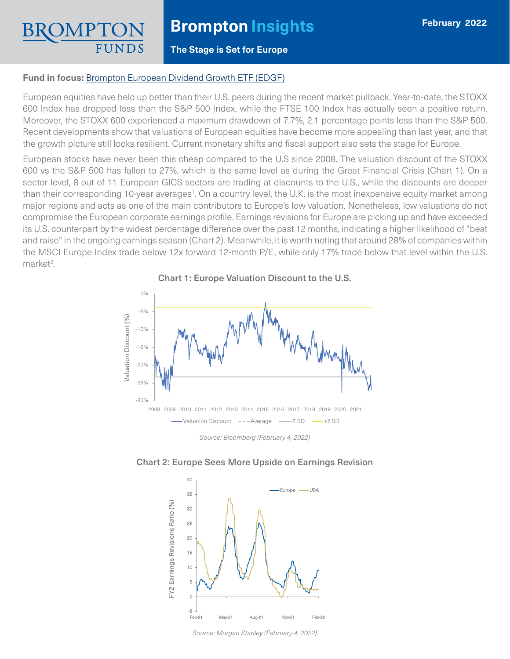# **Brompton Insights**

### **The Stage is Set for Europe**

#### **Fund in focus:** [Brompton European Dividend Growth ETF \(EDGF\)](https://www.bromptongroup.com/product/european-dividend-growth-fund/)

European equities have held up better than their U.S. peers during the recent market pullback. Year-to-date, the STOXX 600 Index has dropped less than the S&P 500 Index, while the FTSE 100 Index has actually seen a positive return. Moreover, the STOXX 600 experienced a maximum drawdown of 7.7%, 2.1 percentage points less than the S&P 500. Recent developments show that valuations of European equities have become more appealing than last year, and that the growth picture still looks resilient. Current monetary shifts and fiscal support also sets the stage for Europe.

European stocks have never been this cheap compared to the U.S since 2008. The valuation discount of the STOXX 600 vs the S&P 500 has fallen to 27%, which is the same level as during the Great Financial Crisis (Chart 1). On a sector level, 8 out of 11 European GICS sectors are trading at discounts to the U.S., while the discounts are deeper than their corresponding 10-year averages<sup>1</sup>. On a country level, the U.K. is the most inexpensive equity market among major regions and acts as one of the main contributors to Europe's low valuation. Nonetheless, low valuations do not compromise the European corporate earnings profile. Earnings revisions for Europe are picking up and have exceeded its U.S. counterpart by the widest percentage difference over the past 12 months, indicating a higher likelihood of "beat and raise" in the ongoing earnings season (Chart 2). Meanwhile, it is worth noting that around 28% of companies within the MSCI Europe Index trade below 12x forward 12-month P/E, while only 17% trade below that level within the U.S. market<sup>2</sup>.

Chart 1: Europe Valuation Discount to the U.S.



*Source: Bloomberg (February 4, 2022)*



### Chart 2: Europe Sees More Upside on Earnings Revision

*Source: Morgan Stanley (February 4, 2022)*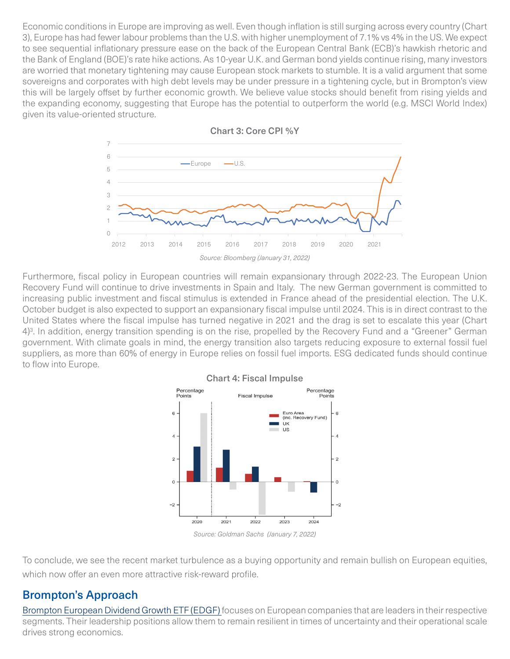Economic conditions in Europe are improving as well. Even though inflation is still surging across every country (Chart 3), Europe has had fewer labour problems than the U.S. with higher unemployment of 7.1% vs 4% in the US. We expect to see sequential inflationary pressure ease on the back of the European Central Bank (ECB)'s hawkish rhetoric and the Bank of England (BOE)'s rate hike actions. As 10-year U.K. and German bond yields continue rising, many investors are worried that monetary tightening may cause European stock markets to stumble. It is a valid argument that some sovereigns and corporates with high debt levels may be under pressure in a tightening cycle, but in Brompton's view this will be largely offset by further economic growth. We believe value stocks should benefit from rising yields and the expanding economy, suggesting that Europe has the potential to outperform the world (e.g. MSCI World Index) given its value-oriented structure.



Chart 3: Core CPI %Y

Furthermore, fiscal policy in European countries will remain expansionary through 2022-23. The European Union Recovery Fund will continue to drive investments in Spain and Italy. The new German government is committed to increasing public investment and fiscal stimulus is extended in France ahead of the presidential election. The U.K. October budget is also expected to support an expansionary fiscal impulse until 2024. This is in direct contrast to the United States where the fiscal impulse has turned negative in 2021 and the drag is set to escalate this year (Chart 4)<sup>3</sup>. In addition, energy transition spending is on the rise, propelled by the Recovery Fund and a "Greener" German government. With climate goals in mind, the energy transition also targets reducing exposure to external fossil fuel suppliers, as more than 60% of energy in Europe relies on fossil fuel imports. ESG dedicated funds should continue to flow into Europe.



### Chart 4: Fiscal Impulse

*Source: Goldman Sachs (January 7, 2022)*

To conclude, we see the recent market turbulence as a buying opportunity and remain bullish on European equities, which now offer an even more attractive risk-reward profile.

## Brompton's Approach

[Brompton European Dividend Growth ETF \(EDGF\)](https://www.bromptongroup.com/product/european-dividend-growth-fund/) focuses on European companies that are leaders in their respective segments. Their leadership positions allow them to remain resilient in times of uncertainty and their operational scale drives strong economics.